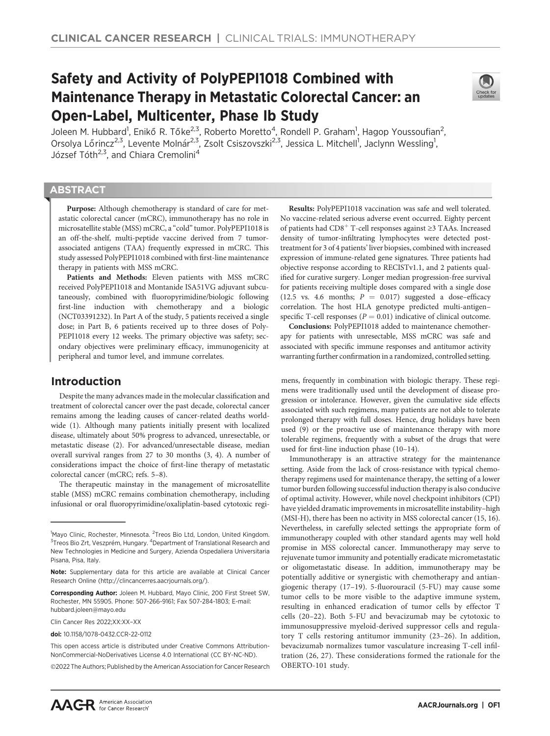# Safety and Activity of PolyPEPI1018 Combined with Maintenance Therapy in Metastatic Colorectal Cancer: an Open-Label, Multicenter, Phase Ib Study



Joleen M. Hubbard<sup>1</sup>, Enikő R. Tőke<sup>2,3</sup>, Roberto Moretto<sup>4</sup>, Rondell P. Graham<sup>1</sup>, Hagop Youssoufian<sup>2</sup>, Orsolya Lőrincz<sup>2,3</sup>, Levente Molnár<sup>2,3</sup>, Zsolt Csiszovszki<sup>2,3</sup>, Jessica L. Mitchell<sup>1</sup>, Jaclynn Wessling<sup>1</sup>, József Tóth<sup>2,3</sup>, and Chiara Cremolini<sup>4</sup>

### **ABSTRACT**

◥

Purpose: Although chemotherapy is standard of care for metastatic colorectal cancer (mCRC), immunotherapy has no role in microsatellite stable (MSS) mCRC, a "cold"tumor. PolyPEPI1018 is an off-the-shelf, multi-peptide vaccine derived from 7 tumorassociated antigens (TAA) frequently expressed in mCRC. This study assessed PolyPEPI1018 combined with first-line maintenance therapy in patients with MSS mCRC.

Patients and Methods: Eleven patients with MSS mCRC received PolyPEPI1018 and Montanide ISA51VG adjuvant subcutaneously, combined with fluoropyrimidine/biologic following first-line induction with chemotherapy and a biologic (NCT03391232). In Part A of the study, 5 patients received a single dose; in Part B, 6 patients received up to three doses of Poly-PEPI1018 every 12 weeks. The primary objective was safety; secondary objectives were preliminary efficacy, immunogenicity at peripheral and tumor level, and immune correlates.

# Introduction

Despite the many advances made in the molecular classification and treatment of colorectal cancer over the past decade, colorectal cancer remains among the leading causes of cancer-related deaths worldwide (1). Although many patients initially present with localized disease, ultimately about 50% progress to advanced, unresectable, or metastatic disease (2). For advanced/unresectable disease, median overall survival ranges from 27 to 30 months (3, 4). A number of considerations impact the choice of first-line therapy of metastatic colorectal cancer (mCRC; refs. 5–8).

The therapeutic mainstay in the management of microsatellite stable (MSS) mCRC remains combination chemotherapy, including infusional or oral fluoropyrimidine/oxaliplatin-based cytotoxic regi-

2022 The Authors; Published by the American Association for Cancer Research

Results: PolyPEPI1018 vaccination was safe and well tolerated. No vaccine-related serious adverse event occurred. Eighty percent of patients had  $\text{CD8}^+$  T-cell responses against  ${\geq}3$  TAAs. Increased density of tumor-infiltrating lymphocytes were detected posttreatment for 3 of 4 patients' liver biopsies, combined with increased expression of immune-related gene signatures. Three patients had objective response according to RECISTv1.1, and 2 patients qualified for curative surgery. Longer median progression-free survival for patients receiving multiple doses compared with a single dose (12.5 vs. 4.6 months;  $P = 0.017$ ) suggested a dose-efficacy correlation. The host HLA genotype predicted multi-antigen– specific T-cell responses ( $P = 0.01$ ) indicative of clinical outcome.

Conclusions: PolyPEPI1018 added to maintenance chemotherapy for patients with unresectable, MSS mCRC was safe and associated with specific immune responses and antitumor activity warranting further confirmation in a randomized, controlled setting.

mens, frequently in combination with biologic therapy. These regimens were traditionally used until the development of disease progression or intolerance. However, given the cumulative side effects associated with such regimens, many patients are not able to tolerate prolonged therapy with full doses. Hence, drug holidays have been used (9) or the proactive use of maintenance therapy with more tolerable regimens, frequently with a subset of the drugs that were used for first-line induction phase (10–14).

Immunotherapy is an attractive strategy for the maintenance setting. Aside from the lack of cross-resistance with typical chemotherapy regimens used for maintenance therapy, the setting of a lower tumor burden following successful induction therapy is also conducive of optimal activity. However, while novel checkpoint inhibitors (CPI) have yielded dramatic improvements in microsatellite instability–high (MSI-H), there has been no activity in MSS colorectal cancer (15, 16). Nevertheless, in carefully selected settings the appropriate form of immunotherapy coupled with other standard agents may well hold promise in MSS colorectal cancer. Immunotherapy may serve to rejuvenate tumor immunity and potentially eradicate micrometastatic or oligometastatic disease. In addition, immunotherapy may be potentially additive or synergistic with chemotherapy and antiangiogenic therapy (17–19). 5-fluorouracil (5-FU) may cause some tumor cells to be more visible to the adaptive immune system, resulting in enhanced eradication of tumor cells by effector T cells (20–22). Both 5-FU and bevacizumab may be cytotoxic to immunosuppressive myeloid-derived suppressor cells and regulatory T cells restoring antitumor immunity (23–26). In addition, bevacizumab normalizes tumor vasculature increasing T-cell infiltration (26, 27). These considerations formed the rationale for the OBERTO-101 study.

<sup>&</sup>lt;sup>1</sup>Mayo Clinic, Rochester, Minnesota. <sup>2</sup>Treos Bio Ltd, London, United Kingdom. <sup>3</sup>Treos Bio Zrt, Veszprém, Hungary. <sup>4</sup>Department of Translational Research and New Technologies in Medicine and Surgery, Azienda Ospedaliera Universitaria Pisana, Pisa, Italy.

Note: Supplementary data for this article are available at Clinical Cancer Research Online (http://clincancerres.aacrjournals.org/).

Corresponding Author: Joleen M. Hubbard, Mayo Clinic, 200 First Street SW, Rochester, MN 55905. Phone: 507-266-9161; Fax 507-284-1803; E-mail: hubbard.joleen@mayo.edu

Clin Cancer Res 2022;XX:XX–XX

doi: 10.1158/1078-0432.CCR-22-0112

This open access article is distributed under Creative Commons Attribution-NonCommercial-NoDerivatives License 4.0 International (CC BY-NC-ND).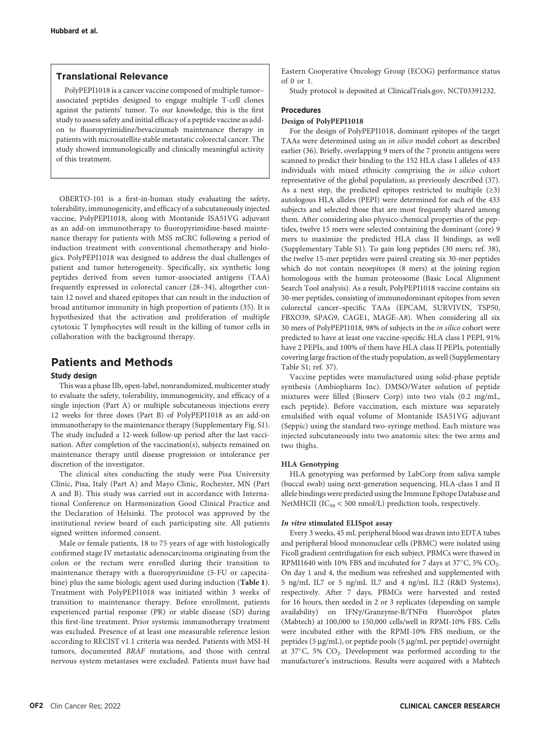#### Translational Relevance

PolyPEPI1018 is a cancer vaccine composed of multiple tumor– associated peptides designed to engage multiple T-cell clones against the patients' tumor. To our knowledge, this is the first study to assess safety and initial efficacy of a peptide vaccine as addon to fluoropyrimidine/bevacizumab maintenance therapy in patients with microsatellite stable metastatic colorectal cancer. The study showed immunologically and clinically meaningful activity of this treatment.

OBERTO-101 is a first-in-human study evaluating the safety, tolerability, immunogenicity, and efficacy of a subcutaneously injected vaccine, PolyPEPI1018, along with Montanide ISA51VG adjuvant as an add-on immunotherapy to fluoropyrimidine-based maintenance therapy for patients with MSS mCRC following a period of induction treatment with conventional chemotherapy and biologics. PolyPEPI1018 was designed to address the dual challenges of patient and tumor heterogeneity. Specifically, six synthetic long peptides derived from seven tumor-associated antigens (TAA) frequently expressed in colorectal cancer (28–34), altogether contain 12 novel and shared epitopes that can result in the induction of broad antitumor immunity in high proportion of patients (35). It is hypothesized that the activation and proliferation of multiple cytotoxic T lymphocytes will result in the killing of tumor cells in collaboration with the background therapy.

## Patients and Methods

#### Study design

This was a phase IIb, open-label, nonrandomized, multicenter study to evaluate the safety, tolerability, immunogenicity, and efficacy of a single injection (Part A) or multiple subcutaneous injections every 12 weeks for three doses (Part B) of PolyPEPI1018 as an add-on immunotherapy to the maintenance therapy (Supplementary Fig. S1). The study included a 12-week follow-up period after the last vaccination. After completion of the vaccination(s), subjects remained on maintenance therapy until disease progression or intolerance per discretion of the investigator.

The clinical sites conducting the study were Pisa University Clinic, Pisa, Italy (Part A) and Mayo Clinic, Rochester, MN (Part A and B). This study was carried out in accordance with International Conference on Harmonization Good Clinical Practice and the Declaration of Helsinki. The protocol was approved by the institutional review board of each participating site. All patients signed written informed consent.

Male or female patients, 18 to 75 years of age with histologically confirmed stage IV metastatic adenocarcinoma originating from the colon or the rectum were enrolled during their transition to maintenance therapy with a fluoropyrimidine (5-FU or capecitabine) plus the same biologic agent used during induction (Table 1). Treatment with PolyPEPI1018 was initiated within 3 weeks of transition to maintenance therapy. Before enrollment, patients experienced partial response (PR) or stable disease (SD) during this first-line treatment. Prior systemic immunotherapy treatment was excluded. Presence of at least one measurable reference lesion according to RECIST v1.1 criteria was needed. Patients with MSI-H tumors, documented BRAF mutations, and those with central nervous system metastases were excluded. Patients must have had Eastern Cooperative Oncology Group (ECOG) performance status of 0 or 1.

Study protocol is deposited at ClinicalTrials.gov, NCT03391232.

#### Procedures

#### Design of PolyPEPI1018

For the design of PolyPEPI1018, dominant epitopes of the target TAAs were determined using an in silico model cohort as described earlier (36). Briefly, overlapping 9 mers of the 7 protein antigens were scanned to predict their binding to the 152 HLA class I alleles of 433 individuals with mixed ethnicity comprising the in silico cohort representative of the global population, as previously described (37). As a next step, the predicted epitopes restricted to multiple  $(≥3)$ autologous HLA alleles (PEPI) were determined for each of the 433 subjects and selected those that are most frequently shared among them. After considering also physico-chemical properties of the peptides, twelve 15 mers were selected containing the dominant (core) 9 mers to maximize the predicted HLA class II bindings, as well (Supplementary Table S1). To gain long peptides (30 mers; ref. 38), the twelve 15-mer peptides were paired creating six 30-mer peptides which do not contain neoepitopes (8 mers) at the joining region homologous with the human proteosome (Basic Local Alignment Search Tool analysis). As a result, PolyPEPI1018 vaccine contains six 30-mer peptides, consisting of immunodominant epitopes from seven colorectal cancer–specific TAAs (EPCAM, SURVIVIN, TSP50, FBXO39, SPAG9, CAGE1, MAGE-A8). When considering all six 30 mers of PolyPEPI1018, 98% of subjects in the in silico cohort were predicted to have at least one vaccine-specific HLA class I PEPI, 91% have 2 PEPIs, and 100% of them have HLA class II PEPIs, potentially covering large fraction of the study population, as well (Supplementary Table S1; ref. 37).

Vaccine peptides were manufactured using solid-phase peptide synthesis (Ambiopharm Inc). DMSO/Water solution of peptide mixtures were filled (Bioserv Corp) into two vials (0.2 mg/mL, each peptide). Before vaccination, each mixture was separately emulsified with equal volume of Montanide ISA51VG adjuvant (Seppic) using the standard two-syringe method. Each mixture was injected subcutaneously into two anatomic sites: the two arms and two thighs.

#### HLA Genotyping

HLA genotyping was performed by LabCorp from saliva sample (buccal swab) using next-generation sequencing. HLA-class I and II allele bindings were predicted using the Immune Epitope Database and NetMHCII ( $IC_{50}$  < 500 nmol/L) prediction tools, respectively.

#### In vitro stimulated ELISpot assay

Every 3 weeks, 45 mL peripheral blood was drawn into EDTA tubes and peripheral blood mononuclear cells (PBMC) were isolated using Ficoll gradient centrifugation for each subject. PBMCs were thawed in RPMI1640 with 10% FBS and incubated for 7 days at 37 $^{\circ}$ C, 5% CO<sub>2</sub>. On day 1 and 4, the medium was refreshed and supplemented with 5 ng/mL IL7 or 5 ng/mL IL7 and 4 ng/mL IL2 (R&D Systems), respectively. After 7 days, PBMCs were harvested and rested for 16 hours, then seeded in 2 or 3 replicates (depending on sample availability) on IFN $\gamma$ /Granzyme-B/TNF $\alpha$  FluoroSpot plates (Mabtech) at 100,000 to 150,000 cells/well in RPMI-10% FBS. Cells were incubated either with the RPMI-10% FBS medium, or the peptides (5 µg/mL), or peptide pools (5 µg/mL per peptide) overnight at  $37^{\circ}$ C, 5% CO<sub>2</sub>. Development was performed according to the manufacturer's instructions. Results were acquired with a Mabtech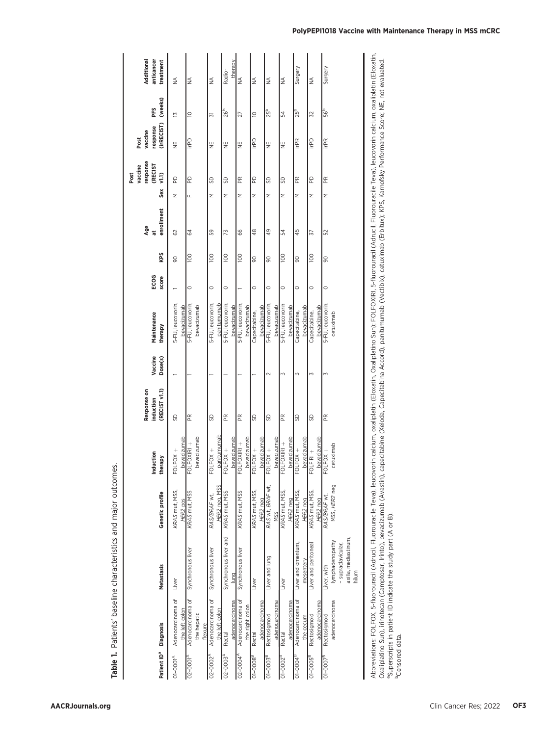| Additional<br>anticancer<br>treatment                                |                                     |                                             |                                     | therapy                          |                                      |                              |                                     |                                 | Surgery                                |                                     | Surgery                                                                             |
|----------------------------------------------------------------------|-------------------------------------|---------------------------------------------|-------------------------------------|----------------------------------|--------------------------------------|------------------------------|-------------------------------------|---------------------------------|----------------------------------------|-------------------------------------|-------------------------------------------------------------------------------------|
|                                                                      | $\frac{4}{2}$                       | $\frac{4}{2}$                               | $\frac{4}{2}$                       | Radio-                           | $\frac{1}{2}$                        | $\frac{4}{2}$                | $\frac{4}{2}$                       | $\frac{4}{2}$                   |                                        | $\frac{4}{2}$                       |                                                                                     |
| (weeks)<br>PFS                                                       | $\overline{1}$                      | $\supseteq$                                 | 57                                  | 26 <sup>b</sup>                  | 27                                   | $\supseteq$                  | 25 <sup>b</sup>                     | 54                              | 25 <sup>b</sup>                        | 32                                  | 56 <sup>b</sup>                                                                     |
| (irRECIST)<br>response<br>vaccine<br>Post                            | ¥                                   | <b>Gdill</b>                                | ¥                                   | ¥                                | ¥                                    | <b>Gdill</b>                 | ¥                                   | ¥                               | irPR                                   | irPD                                | irPR                                                                                |
| response<br><b>(RECIST</b><br>vaccine<br>Post<br>$\sqrt{1.1}$<br>Sex | g                                   | g                                           | SD                                  | SD                               | $\approx$                            | g                            | SD                                  | SD                              | $\mathbb{R}$                           | S                                   | Æ                                                                                   |
|                                                                      | Σ                                   | Щ                                           | Σ                                   | Σ                                | Σ                                    | Σ                            | Σ                                   | Σ                               | Σ                                      | Σ                                   | Σ                                                                                   |
| enrollment<br>Age<br>$\ddot{a}$                                      | 29                                  | 64                                          | 59                                  | 73                               | 66                                   | 48                           | 49                                  | 54                              | 45                                     | 57                                  | 52                                                                                  |
| KPS                                                                  | 8                                   | <b>POL</b>                                  | $\overline{0}$                      | <b>DOI</b>                       | 100                                  | 8                            | 90                                  | 100                             | 8                                      | <b>DOI</b>                          | 90                                                                                  |
| ECOG<br>score                                                        |                                     | $\circ$                                     | $\circ$                             | $\circ$                          |                                      | $\circ$                      | $\circ$                             | $\circ$                         | $\circ$                                | $\circ$                             | $\circ$                                                                             |
| Maintenance<br>therapy                                               | 5-FU, leucovorin,<br>bevacizumab    | 5-FU, leucovorin,<br>bevacizumab            | 5-FU, leucovorin,<br>panitumumab    | 5-FU, leucovorin,<br>bevacizumab | 5-FU, leucovorin,<br>bevacizumab     | bevacizumab<br>Capecitabine, | 5-FU, leucovorin,<br>bevacizumab    | 5-FU, leucovorin<br>bevacizumab | bevacizumab<br>Capecitabine,           | <u>bevacizumab</u><br>Capecitabine, | 5-FU, leucovorin,<br>cetuximab                                                      |
| Vaccine<br>Dose(s)                                                   |                                     |                                             |                                     |                                  |                                      |                              | $\sim$                              | $\mathsf{M}$                    | M                                      | Z                                   | Z                                                                                   |
| Response on<br>(RECIST VI.1)<br>induction                            | SD                                  | Æ                                           | SD                                  | Æ                                | $\mathbb{R}$                         | SD                           | SD                                  | Æ                               | SD                                     | SD                                  | Æ                                                                                   |
| Induction<br>therapy                                                 | bevacizumab<br>$FOLFOX +$           | bevacizumab<br>FOLFOXIRI +                  | panitumumab<br>FOLFOX +             | bevacizumab<br>FOLFOX +          | bevacizumab<br>FOLFOXIRI +           | bevacizumab<br>FOLFOX +      | bevacizumab<br>FOLFOX +             | FOLFOXIRI +                     | bevacizumab<br>bevacizumab<br>FOLFOX + | bevacizumab<br>$FOLFIRI +$          | cetuximab<br>FOLFOX +                                                               |
| Genetic profile                                                      | KRAS mut, MSS,<br>HER2 pos          | KRAS mut, MSS                               | HER2 nea, MSS<br>RAS/BRAF wt,       | KRAS mut, MSS                    | KRAS mut, MSS                        | KRAS mut, MSS,<br>HER2 neg   | RAS wt, BRAF wt,<br>M <sub>SS</sub> | KRAS mut, MSS,<br>HER2 neg      | KRAS mut, MSS,<br>HER2 nea             | KRAS mut, MSS<br>HER2 neg           | MSS, HER2 neg<br>RAS/BRAF wt,                                                       |
| Metastasis                                                           | Liver                               | Synchronous liver                           | Synchronous liver                   | Synchronous liver and<br>lung    | Synchronous liver                    | Liver                        | Liver and lung                      | Liver                           | Liver and omentum,<br>mesentery        | Liver and peritoneal                | axilla, mediastinum<br>lymphadenopathy<br>- supraclavicular<br>Liver, with<br>hilum |
|                                                                      | Adenocarcinoma of<br>the left colon | Adenocarcinoma of<br>the hepatic<br>flexure | Adenocarcinoma of<br>the left colon | adenocarcinoma<br>Rectal         | Adenocarcinoma of<br>the right colon | adenocarcinoma<br>Rectal     | adenocarcinoma<br>Rectosigmoid      | adenocarcinoma<br>Rectal        | Adenocarcinoma of<br>the cecum         | adenocarcinoma<br>Rectosigmoid      | adenocarcinoma<br>Rectosigmoid                                                      |
| Patient ID <sup>®</sup> Diagnosis                                    | $O1 - OOO1^{A}$                     | $02 - 0001A$                                | $02 - 0002^A$                       | 02-0003                          | $02 - 0004^A$                        | $O1 - COO$ $O8^{\text{dB}}$  | 01-0003 <sup>B</sup>                | $\overline{O1-0002}^B$          | $O1 - OOO4^B$                          | $\overline{O1-0005}^B$              | $O1 - OOO7B$                                                                        |

# Abbreviations: FOLFOX, 5-fluorouracil (Adrucil, Fluorouracile Teva), leucovorin calcium, oxaliplatin (Eloxatin, Oxaliplatin GSun); FOLFOXIRI, 5-fluorouracil (Adrucil, Fluorouracile Teva), leucovorin calcium, oxaliplatin (E Abbreviations: FOLFOX, 5-fluorouraciil, Fluorouraciie Teva), leucovorin calcium, oxaliplatin (Eloxatin, Oxaliplatin CSun); FOLFOXIRI, 5-fluorouraciil, (Adrucil, Fluorouraciie Teva), leucovorin calcium, oxaliplatin (Eloxati Oxaliplatino Sun), irinotecan (Camptosar, Irinto), bevacizumab (Avastin), capecitabine (Xeloda, Capecitabina Accord), panitumumab (Vectibix), cetuximab (Erbitux); KPS, Karnofsky Performance Score; NE, not evaluated.<br>Supers bCensored data. bCensored data.

Table 1. Patients' baseline characteristics and major outcomes.

Table 1. Patients' baseline characteristics and major outcomes.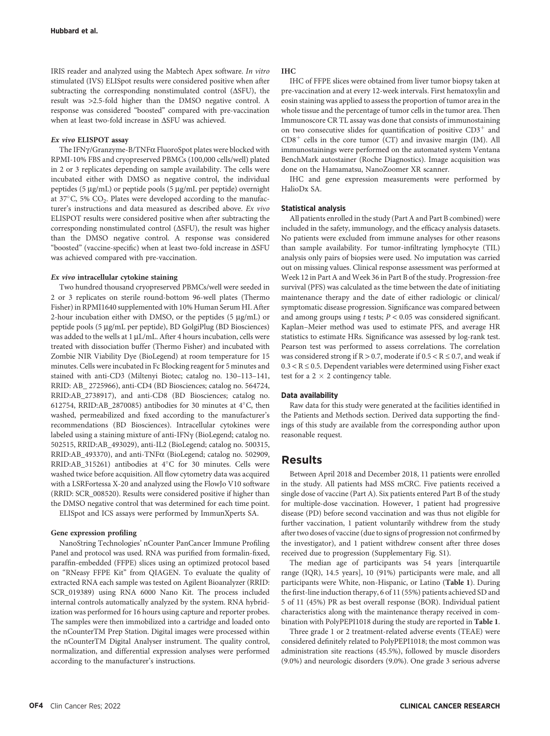IRIS reader and analyzed using the Mabtech Apex software. In vitro stimulated (IVS) ELISpot results were considered positive when after subtracting the corresponding nonstimulated control  $(\Delta$ SFU), the result was >2.5-fold higher than the DMSO negative control. A response was considered "boosted" compared with pre-vaccination when at least two-fold increase in  $\Delta$ SFU was achieved.

#### Ex vivo ELISPOT assay

The IFN $\gamma$ /Granzyme-B/TNF $\alpha$  FluoroSpot plates were blocked with RPMI-10% FBS and cryopreserved PBMCs (100,000 cells/well) plated in 2 or 3 replicates depending on sample availability. The cells were incubated either with DMSO as negative control, the individual peptides (5 µg/mL) or peptide pools (5 µg/mL per peptide) overnight at 37°C, 5% CO<sub>2</sub>. Plates were developed according to the manufacturer's instructions and data measured as described above. Ex vivo ELISPOT results were considered positive when after subtracting the corresponding nonstimulated control ( $\Delta$ SFU), the result was higher than the DMSO negative control. A response was considered "boosted" (vaccine-specific) when at least two-fold increase in DSFU was achieved compared with pre-vaccination.

#### Ex vivo intracellular cytokine staining

Two hundred thousand cryopreserved PBMCs/well were seeded in 2 or 3 replicates on sterile round-bottom 96-well plates (Thermo Fisher) in RPMI1640 supplemented with 10% Human Serum HI. After 2-hour incubation either with DMSO, or the peptides  $(5 \mu g/mL)$  or peptide pools (5 mg/mL per peptide), BD GolgiPlug (BD Biosciences) was added to the wells at  $1 \mu L/mL$ . After 4 hours incubation, cells were treated with dissociation buffer (Thermo Fisher) and incubated with Zombie NIR Viability Dye (BioLegend) at room temperature for 15 minutes. Cells were incubated in Fc Blocking reagent for 5 minutes and stained with anti-CD3 (Miltenyi Biotec; catalog no. 130–113–141, RRID: AB\_ 2725966), anti-CD4 (BD Biosciences; catalog no. 564724, RRID:AB\_2738917), and anti-CD8 (BD Biosciences; catalog no. 612754, RRID:AB\_2870085) antibodies for 30 minutes at  $4^{\circ}$ C, then washed, permeabilized and fixed according to the manufacturer's recommendations (BD Biosciences). Intracellular cytokines were labeled using a staining mixture of anti-IFNγ (BioLegend; catalog no. 502515, RRID:AB\_493029), anti-IL2 (BioLegend; catalog no. 500315, RRID:AB\_493370), and anti-TNFa (BioLegend; catalog no. 502909,  $RRID:AB_315261)$  antibodies at  $4^{\circ}C$  for 30 minutes. Cells were washed twice before acquisition. All flow cytometry data was acquired with a LSRFortessa X-20 and analyzed using the FlowJo V10 software (RRID: SCR\_008520). Results were considered positive if higher than the DMSO negative control that was determined for each time point.

ELISpot and ICS assays were performed by ImmunXperts SA.

#### Gene expression profiling

NanoString Technologies' nCounter PanCancer Immune Profiling Panel and protocol was used. RNA was purified from formalin-fixed, paraffin-embedded (FFPE) slices using an optimized protocol based on "RNeasy FFPE Kit" from QIAGEN. To evaluate the quality of extracted RNA each sample was tested on Agilent Bioanalyzer (RRID: SCR\_019389) using RNA 6000 Nano Kit. The process included internal controls automatically analyzed by the system. RNA hybridization was performed for 16 hours using capture and reporter probes. The samples were then immobilized into a cartridge and loaded onto the nCounterTM Prep Station. Digital images were processed within the nCounterTM Digital Analyser instrument. The quality control, normalization, and differential expression analyses were performed according to the manufacturer's instructions.

#### IHC

IHC of FFPE slices were obtained from liver tumor biopsy taken at pre-vaccination and at every 12-week intervals. First hematoxylin and eosin staining was applied to assess the proportion of tumor area in the whole tissue and the percentage of tumor cells in the tumor area. Then Immunoscore CR TL assay was done that consists of immunostaining on two consecutive slides for quantification of positive  $CD3^+$  and  $CD8<sup>+</sup>$  cells in the core tumor (CT) and invasive margin (IM). All immunostainings were performed on the automated system Ventana BenchMark autostainer (Roche Diagnostics). Image acquisition was done on the Hamamatsu, NanoZoomer XR scanner.

IHC and gene expression measurements were performed by HalioDx SA.

#### Statistical analysis

All patients enrolled in the study (Part A and Part B combined) were included in the safety, immunology, and the efficacy analysis datasets. No patients were excluded from immune analyses for other reasons than sample availability. For tumor-infiltrating lymphocyte (TIL) analysis only pairs of biopsies were used. No imputation was carried out on missing values. Clinical response assessment was performed at Week 12 in Part A and Week 36 in Part B of the study. Progression-free survival (PFS) was calculated as the time between the date of initiating maintenance therapy and the date of either radiologic or clinical/ symptomatic disease progression. Significance was compared between and among groups using  $t$  tests;  $P < 0.05$  was considered significant. Kaplan–Meier method was used to estimate PFS, and average HR statistics to estimate HRs. Significance was assessed by log-rank test. Pearson test was performed to assess correlations. The correlation was considered strong if  $R > 0.7$ , moderate if  $0.5 < R \le 0.7$ , and weak if  $0.3 < R \leq 0.5$ . Dependent variables were determined using Fisher exact test for a  $2 \times 2$  contingency table.

#### Data availability

Raw data for this study were generated at the facilities identified in the Patients and Methods section. Derived data supporting the findings of this study are available from the corresponding author upon reasonable request.

#### Results

Between April 2018 and December 2018, 11 patients were enrolled in the study. All patients had MSS mCRC. Five patients received a single dose of vaccine (Part A). Six patients entered Part B of the study for multiple-dose vaccination. However, 1 patient had progressive disease (PD) before second vaccination and was thus not eligible for further vaccination, 1 patient voluntarily withdrew from the study after two doses of vaccine (due to signs of progression not confirmed by the investigator), and 1 patient withdrew consent after three doses received due to progression (Supplementary Fig. S1).

The median age of participants was 54 years [interquartile range (IQR), 14.5 years], 10 (91%) participants were male, and all participants were White, non-Hispanic, or Latino (Table 1). During the first-line induction therapy, 6 of 11 (55%) patients achieved SD and 5 of 11 (45%) PR as best overall response (BOR). Individual patient characteristics along with the maintenance therapy received in combination with PolyPEPI1018 during the study are reported in Table 1.

Three grade 1 or 2 treatment-related adverse events (TEAE) were considered definitely related to PolyPEPI1018; the most common was administration site reactions (45.5%), followed by muscle disorders (9.0%) and neurologic disorders (9.0%). One grade 3 serious adverse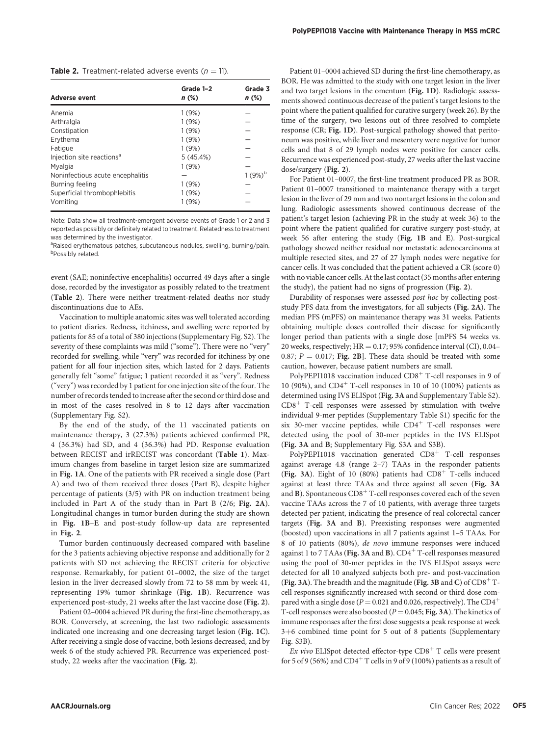| <b>Table 2.</b> Treatment-related adverse events $(n = 11)$ . |  |
|---------------------------------------------------------------|--|
|---------------------------------------------------------------|--|

| <b>Adverse event</b>                  | Grade 1-2<br>n (%) | Grade 3<br>$n$ (%) |
|---------------------------------------|--------------------|--------------------|
| Anemia                                | 1(9%)              |                    |
| Arthralgia                            | 1(9%)              |                    |
| Constipation                          | 1(9%)              |                    |
| Ervthema                              | 1(9%)              |                    |
| Fatigue                               | 1(9%)              |                    |
| Injection site reactions <sup>a</sup> | 5(45.4%)           |                    |
| Mvalgia                               | 1(9%)              |                    |
| Noninfectious acute encephalitis      |                    | $1(9%)^p$          |
| Burning feeling                       | 1(9%)              |                    |
| Superficial thrombophlebitis          | 1(9%)              |                    |
| Vomiting                              | 1(9%)              |                    |

Note: Data show all treatment-emergent adverse events of Grade 1 or 2 and 3 reported as possibly or definitely related to treatment. Relatedness to treatment was determined by the investigator.

<sup>a</sup>Raised erythematous patches, subcutaneous nodules, swelling, burning/pain. **b**Possibly related.

event (SAE; noninfective encephalitis) occurred 49 days after a single dose, recorded by the investigator as possibly related to the treatment (Table 2). There were neither treatment-related deaths nor study discontinuations due to AEs.

Vaccination to multiple anatomic sites was well tolerated according to patient diaries. Redness, itchiness, and swelling were reported by patients for 85 of a total of 380 injections (Supplementary Fig. S2). The severity of these complaints was mild ("some"). There were no "very" recorded for swelling, while "very" was recorded for itchiness by one patient for all four injection sites, which lasted for 2 days. Patients generally felt "some" fatigue; 1 patient recorded it as "very". Redness ("very") was recorded by 1 patient for one injection site of the four. The number of records tended to increase after the second or third dose and in most of the cases resolved in 8 to 12 days after vaccination (Supplementary Fig. S2).

By the end of the study, of the 11 vaccinated patients on maintenance therapy, 3 (27.3%) patients achieved confirmed PR, 4 (36.3%) had SD, and 4 (36.3%) had PD. Response evaluation between RECIST and irRECIST was concordant (Table 1). Maximum changes from baseline in target lesion size are summarized in Fig. 1A. One of the patients with PR received a single dose (Part A) and two of them received three doses (Part B), despite higher percentage of patients (3/5) with PR on induction treatment being included in Part A of the study than in Part B (2/6; Fig. 2A). Longitudinal changes in tumor burden during the study are shown in Fig. 1B–E and post-study follow-up data are represented in Fig. 2.

Tumor burden continuously decreased compared with baseline for the 3 patients achieving objective response and additionally for 2 patients with SD not achieving the RECIST criteria for objective response. Remarkably, for patient 01–0002, the size of the target lesion in the liver decreased slowly from 72 to 58 mm by week 41, representing 19% tumor shrinkage (Fig. 1B). Recurrence was experienced post-study, 21 weeks after the last vaccine dose (Fig. 2).

Patient 02–0004 achieved PR during the first-line chemotherapy, as BOR. Conversely, at screening, the last two radiologic assessments indicated one increasing and one decreasing target lesion (Fig. 1C). After receiving a single dose of vaccine, both lesions decreased, and by week 6 of the study achieved PR. Recurrence was experienced poststudy, 22 weeks after the vaccination (Fig. 2).

Patient 01–0004 achieved SD during the first-line chemotherapy, as BOR. He was admitted to the study with one target lesion in the liver and two target lesions in the omentum (Fig. 1D). Radiologic assessments showed continuous decrease of the patient's target lesions to the point where the patient qualified for curative surgery (week 26). By the time of the surgery, two lesions out of three resolved to complete response (CR; Fig. 1D). Post-surgical pathology showed that peritoneum was positive, while liver and mesentery were negative for tumor cells and that 8 of 29 lymph nodes were positive for cancer cells. Recurrence was experienced post-study, 27 weeks after the last vaccine dose/surgery (Fig. 2).

For Patient 01–0007, the first-line treatment produced PR as BOR. Patient 01–0007 transitioned to maintenance therapy with a target lesion in the liver of 29 mm and two nontarget lesions in the colon and lung. Radiologic assessments showed continuous decrease of the patient's target lesion (achieving PR in the study at week 36) to the point where the patient qualified for curative surgery post-study, at week 56 after entering the study (Fig. 1B and E). Post-surgical pathology showed neither residual nor metastatic adenocarcinoma at multiple resected sites, and 27 of 27 lymph nodes were negative for cancer cells. It was concluded that the patient achieved a CR (score 0) with no viable cancer cells. At the last contact (35 months after entering the study), the patient had no signs of progression (Fig. 2).

Durability of responses were assessed post hoc by collecting poststudy PFS data from the investigators, for all subjects (Fig. 2A). The median PFS (mPFS) on maintenance therapy was 31 weeks. Patients obtaining multiple doses controlled their disease for significantly longer period than patients with a single dose [mPFS 54 weeks vs. 20 weeks, respectively;  $HR = 0.17$ ; 95% confidence interval (CI), 0.04– 0.87;  $P = 0.017$ ; Fig. 2B]. These data should be treated with some caution, however, because patient numbers are small.

PolyPEPI1018 vaccination induced  $CD8<sup>+</sup>$  T-cell responses in 9 of 10 (90%), and CD4<sup>+</sup> T-cell responses in 10 of 10 (100%) patients as determined using IVS ELISpot (Fig. 3A and Supplementary Table S2).  $CD8<sup>+</sup>$  T-cell responses were assessed by stimulation with twelve individual 9-mer peptides (Supplementary Table S1) specific for the six 30-mer vaccine peptides, while  $CD4^+$  T-cell responses were detected using the pool of 30-mer peptides in the IVS ELISpot (Fig. 3A and B; Supplementary Fig. S3A and S3B).

PolyPEPI1018 vaccination generated  $CD8^+$  T-cell responses against average 4.8 (range 2–7) TAAs in the responder patients (Fig. 3A). Eight of 10 (80%) patients had  $CD8<sup>+</sup>$  T-cells induced against at least three TAAs and three against all seven (Fig. 3A and  $B$ ). Spontaneous  $CD8<sup>+</sup>$  T-cell responses covered each of the seven vaccine TAAs across the 7 of 10 patients, with average three targets detected per patient, indicating the presence of real colorectal cancer targets (Fig. 3A and B). Preexisting responses were augmented (boosted) upon vaccinations in all 7 patients against 1–5 TAAs. For 8 of 10 patients (80%), de novo immune responses were induced against 1 to 7 TAAs (Fig. 3A and B).  $CD4<sup>+</sup>$  T-cell responses measured using the pool of 30-mer peptides in the IVS ELISpot assays were detected for all 10 analyzed subjects both pre- and post-vaccination (Fig. 3A). The breadth and the magnitude (Fig. 3B and C) of  $CD8^+$  Tcell responses significantly increased with second or third dose compared with a single dose ( $P = 0.021$  and 0.026, respectively). The CD4<sup>+</sup> T-cell responses were also boosted ( $P = 0.045$ ; Fig. 3A). The kinetics of immune responses after the first dose suggests a peak response at week 3+6 combined time point for 5 out of 8 patients (Supplementary Fig. S3B).

 $\mathit{Ex}$  vivo ELISpot detected effector-type CD8<sup>+</sup> T cells were present for 5 of 9 (56%) and CD4<sup>+</sup> T cells in 9 of 9 (100%) patients as a result of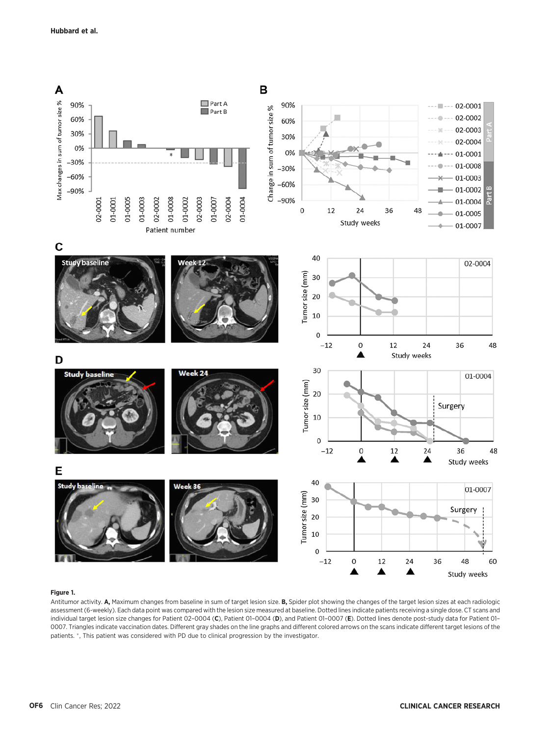

#### Figure 1.

Antitumor activity. A, Maximum changes from baseline in sum of target lesion size. B, Spider plot showing the changes of the target lesion sizes at each radiologic assessment (6-weekly). Each data point was compared with the lesion size measured at baseline. Dotted lines indicate patients receiving a single dose. CT scans and individual target lesion size changes for Patient 02-0004 (C), Patient 01-0004 (D), and Patient 01-0007 (E). Dotted lines denote post-study data for Patient 01-0007. Triangles indicate vaccination dates. Different gray shades on the line graphs and different colored arrows on the scans indicate different target lesions of the patients. \*, This patient was considered with PD due to clinical progression by the investigator.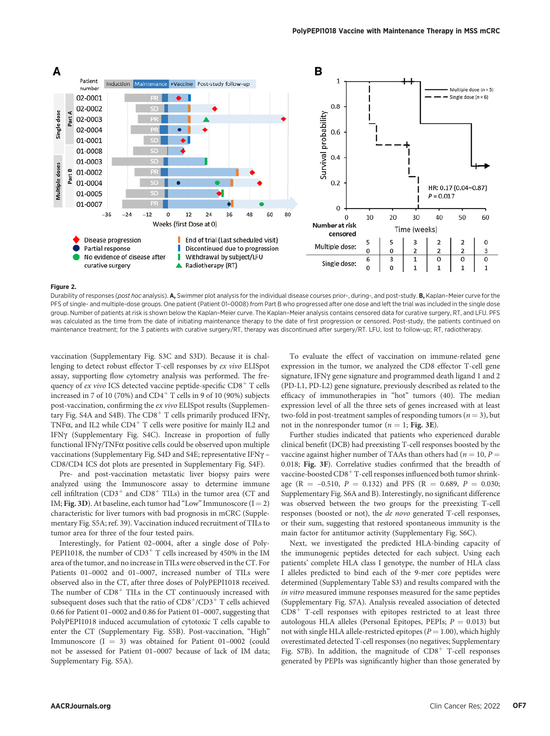

#### Figure 2.

Durability of responses (post hoc analysis). A, Swimmer plot analysis for the individual disease courses prior-, during-, and post-study. B, Kaplan-Meier curve for the PFS of single- and multiple-dose groups. One patient (Patient 01-0008) from Part B who progressed after one dose and left the trial was included in the single dose group. Number of patients at risk is shown below the Kaplan–Meier curve. The Kaplan–Meier analysis contains censored data for curative surgery, RT, and LFU. PFS was calculated as the time from the date of initiating maintenance therapy to the date of first progression or censored. Post-study, the patients continued on maintenance treatment; for the 3 patients with curative surgery/RT, therapy was discontinued after surgery/RT. LFU, lost to follow-up; RT, radiotherapy.

vaccination (Supplementary Fig. S3C and S3D). Because it is challenging to detect robust effector T-cell responses by ex vivo ELISpot assay, supporting flow cytometry analysis was performed. The frequency of ex vivo ICS detected vaccine peptide-specific  $CD8<sup>+</sup>$  T cells increased in 7 of 10 (70%) and  $CD4^+$  T cells in 9 of 10 (90%) subjects post-vaccination, confirming the ex vivo ELISpot results (Supplementary Fig. S4A and S4B). The CD8<sup>+</sup> T cells primarily produced IFN $\gamma$ , TNF $\alpha$ , and IL2 while CD4 $^+$  T cells were positive for mainly IL2 and IFNg (Supplementary Fig. S4C). Increase in proportion of fully functional IFN $\gamma$ /TNF $\alpha$  positive cells could be observed upon multiple vaccinations (Supplementary Fig. S4D and S4E; representative IFNg – CD8/CD4 ICS dot plots are presented in Supplementary Fig. S4F).

Pre- and post-vaccination metastatic liver biopsy pairs were analyzed using the Immunoscore assay to determine immune cell infiltration  $(CD3^+$  and  $CD8^+$  TILs) in the tumor area (CT and IM; Fig. 3D). At baseline, each tumor had "Low" Immunoscore  $(I = 2)$ characteristic for liver tumors with bad prognosis in mCRC (Supplementary Fig. S5A; ref. 39). Vaccination induced recruitment of TILs to tumor area for three of the four tested pairs.

Interestingly, for Patient 02–0004, after a single dose of Poly-PEPI1018, the number of  $CD3^+$  T cells increased by 450% in the IM area of the tumor, and no increase in TILs were observed in the CT. For Patients 01–0002 and 01–0007, increased number of TILs were observed also in the CT, after three doses of PolyPEPI1018 received. The number of  $CD8<sup>+</sup>$  TILs in the CT continuously increased with subsequent doses such that the ratio of  $CD8<sup>+</sup>/CD3<sup>+</sup>$  T cells achieved 0.66 for Patient 01–0002 and 0.86 for Patient 01–0007, suggesting that PolyPEPI1018 induced accumulation of cytotoxic T cells capable to enter the CT (Supplementary Fig. S5B). Post-vaccination, "High" Immunoscore  $(I = 3)$  was obtained for Patient 01-0002 (could not be assessed for Patient 01–0007 because of lack of IM data; Supplementary Fig. S5A).

To evaluate the effect of vaccination on immune-related gene expression in the tumor, we analyzed the CD8 effector T-cell gene signature, IFN $\gamma$  gene signature and programmed death ligand 1 and 2 (PD-L1, PD-L2) gene signature, previously described as related to the efficacy of immunotherapies in "hot" tumors (40). The median expression level of all the three sets of genes increased with at least two-fold in post-treatment samples of responding tumors ( $n = 3$ ), but not in the nonresponder tumor ( $n = 1$ ; Fig. 3E).

Further studies indicated that patients who experienced durable clinical benefit (DCB) had preexisting T-cell responses boosted by the vaccine against higher number of TAAs than others had ( $n = 10, P =$ 0.018; Fig. 3F). Correlative studies confirmed that the breadth of vaccine-boosted  $CD8<sup>+</sup>$  T-cell responses influenced both tumor shrinkage (R = -0.510,  $P = 0.132$ ) and PFS (R = 0.689,  $P = 0.030$ ; Supplementary Fig. S6A and B). Interestingly, no significant difference was observed between the two groups for the preexisting T-cell responses (boosted or not), the de novo generated T-cell responses, or their sum, suggesting that restored spontaneous immunity is the main factor for antitumor activity (Supplementary Fig. S6C).

Next, we investigated the predicted HLA-binding capacity of the immunogenic peptides detected for each subject. Using each patients' complete HLA class I genotype, the number of HLA class I alleles predicted to bind each of the 9-mer core peptides were determined (Supplementary Table S3) and results compared with the in vitro measured immune responses measured for the same peptides (Supplementary Fig. S7A). Analysis revealed association of detected  $CD8<sup>+</sup>$  T-cell responses with epitopes restricted to at least three autologous HLA alleles (Personal Epitopes, PEPIs;  $P = 0.013$ ) but not with single HLA allele-restricted epitopes ( $P = 1.00$ ), which highly overestimated detected T-cell responses (no negatives; Supplementary Fig. S7B). In addition, the magnitude of  $CD8<sup>+</sup>$  T-cell responses generated by PEPIs was significantly higher than those generated by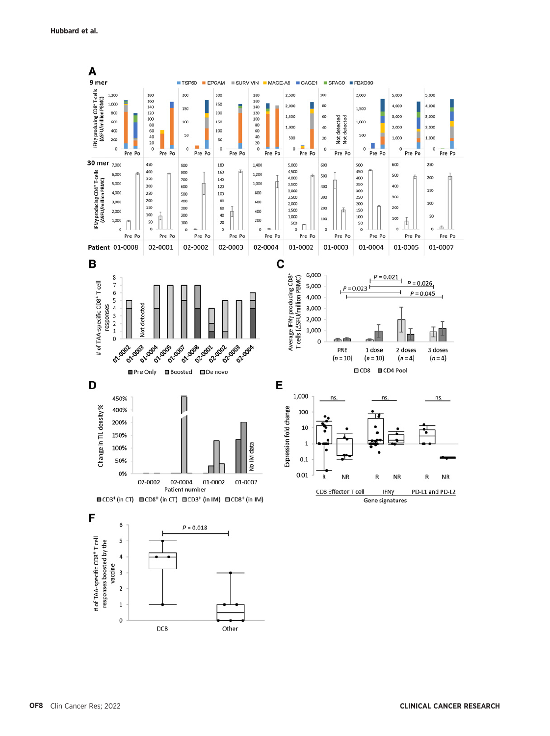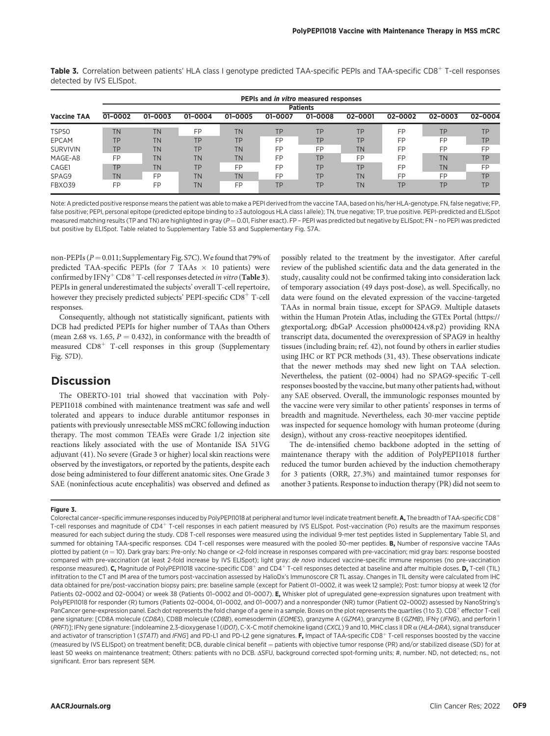|                    |                 | PEPIs and in vitro measured responses |           |           |           |           |           |         |           |           |  |  |  |
|--------------------|-----------------|---------------------------------------|-----------|-----------|-----------|-----------|-----------|---------|-----------|-----------|--|--|--|
|                    | <b>Patients</b> |                                       |           |           |           |           |           |         |           |           |  |  |  |
| <b>Vaccine TAA</b> | 01-0002         | 01-0003                               | 01-0004   | 01-0005   | 01-0007   | 01-0008   | 02-0001   | 02-0002 | 02-0003   | 02-0004   |  |  |  |
| TSP50              | <b>TN</b>       | <b>TN</b>                             | FP        | <b>TN</b> | <b>TP</b> | <b>TP</b> | TP        | FP      | <b>TP</b> | <b>TP</b> |  |  |  |
| EPCAM              | TP              | <b>TN</b>                             | TP        | TP        | FP        | <b>TP</b> | TP        | FP      | FP        | <b>TP</b> |  |  |  |
| <b>SURVIVIN</b>    | TP              | <b>TN</b>                             | TP        | <b>TN</b> | FP        | FP        | <b>TN</b> | FP      | FP        | FP        |  |  |  |
| MAGE-A8            | FP              | <b>TN</b>                             | <b>TN</b> | <b>TN</b> | FP        | <b>TP</b> | FP        | FP      | TN.       | <b>TP</b> |  |  |  |
| CAGE1              | <b>TP</b>       | <b>TN</b>                             | <b>TP</b> | FP        | FP        | <b>TP</b> | TP        | FP      | TN        | FP        |  |  |  |
| SPAG9              | <b>TN</b>       | FP                                    | <b>TN</b> | <b>TN</b> | FP        | <b>TP</b> | <b>TN</b> | FP      | FP        | TP.       |  |  |  |
| FBXO39             | FP              | FP                                    | <b>TN</b> | FP        | <b>TP</b> | TP.       | <b>TN</b> | TP      | <b>TP</b> | <b>TP</b> |  |  |  |

Table 3. Correlation between patients' HLA class I genotype predicted TAA-specific PEPIs and TAA-specific CD8<sup>+</sup> T-cell responses detected by IVS ELISpot.

Note: A predicted positive response means the patient was able to make a PEPI derived from the vaccine TAA, based on his/her HLA-genotype. FN, false negative; FP, false positive; PEPI, personal epitope (predicted epitope binding to ≥3 autologous HLA class I allele); TN, true negative; TP, true positive. PEPI-predicted and ELISpot measured matching results (TP and TN) are highlighted in gray ( $P = 0.01$ , Fisher exact). FP - PEPI was predicted but negative by ELISpot; FN - no PEPI was predicted but positive by ELISpot. Table related to Supplementary Table S3 and Supplementary Fig. S7A.

non-PEPIs ( $P = 0.011$ ; Supplementary Fig. S7C). We found that 79% of predicted TAA-specific PEPIs (for 7 TAAs  $\times$  10 patients) were confirmed by IFN $\gamma^+$ CD8<sup>+</sup> T-cell responses detected *in vitro* (Table 3). PEPIs in general underestimated the subjects' overall T-cell repertoire, however they precisely predicted subjects' PEPI-specific  $CD8<sup>+</sup>$  T-cell responses.

Consequently, although not statistically significant, patients with DCB had predicted PEPIs for higher number of TAAs than Others (mean 2.68 vs. 1.65,  $P = 0.432$ ), in conformance with the breadth of measured  $CD8<sup>+</sup>$  T-cell responses in this group (Supplementary Fig. S7D).

# **Discussion**

The OBERTO-101 trial showed that vaccination with Poly-PEPI1018 combined with maintenance treatment was safe and well tolerated and appears to induce durable antitumor responses in patients with previously unresectable MSS mCRC following induction therapy. The most common TEAEs were Grade 1/2 injection site reactions likely associated with the use of Montanide ISA 51VG adjuvant (41). No severe (Grade 3 or higher) local skin reactions were observed by the investigators, or reported by the patients, despite each dose being administered to four different anatomic sites. One Grade 3 SAE (noninfectious acute encephalitis) was observed and defined as possibly related to the treatment by the investigator. After careful review of the published scientific data and the data generated in the study, causality could not be confirmed taking into consideration lack of temporary association (49 days post-dose), as well. Specifically, no data were found on the elevated expression of the vaccine-targeted TAAs in normal brain tissue, except for SPAG9. Multiple datasets within the Human Protein Atlas, including the GTEx Portal ([https://](https://gtexportal.org) [gtexportal.org](https://gtexportal.org); dbGaP Accession phs000424.v8.p2) providing RNA transcript data, documented the overexpression of SPAG9 in healthy tissues (including brain; ref. 42), not found by others in earlier studies using IHC or RT PCR methods (31, 43). These observations indicate that the newer methods may shed new light on TAA selection. Nevertheless, the patient (02–0004) had no SPAG9-specific T-cell responses boosted by the vaccine, but many other patients had, without any SAE observed. Overall, the immunologic responses mounted by the vaccine were very similar to other patients' responses in terms of breadth and magnitude. Nevertheless, each 30-mer vaccine peptide was inspected for sequence homology with human proteome (during design), without any cross-reactive neoepitopes identified.

The de-intensified chemo backbone adopted in the setting of maintenance therapy with the addition of PolyPEPI1018 further reduced the tumor burden achieved by the induction chemotherapy for 3 patients (ORR, 27.3%) and maintained tumor responses for another 3 patients. Response to induction therapy (PR) did not seem to

#### Figure 3.

Colorectal cancer-specific immune responses induced by PolyPEPI1018 at peripheral and tumor level indicate treatment benefit. A, The breadth of TAA-specific CD8<sup>+</sup> T-cell responses and magnitude of CD4+ T-cell responses in each patient measured by IVS ELISpot. Post-vaccination (Po) results are the maximum responses measured for each subject during the study. CD8 T-cell responses were measured using the individual 9-mer test peptides listed in Supplementary Table S1, and summed for obtaining TAA-specific responses. CD4 T-cell responses were measured with the pooled 30-mer peptides. B, Number of responsive vaccine TAAs plotted by patient ( $n = 10$ ). Dark gray bars: Pre-only: No change or <2-fold increase in responses compared with pre-vaccination; mid gray bars: response boosted compared with pre-vaccination (at least 2-fold increase by IVS ELISpot); light gray: de novo induced vaccine-specific immune responses (no pre-vaccination response measured). C, Magnitude of PolyPEPI1018 vaccine-specific CD8<sup>+</sup> and CD4<sup>+</sup> T-cell responses detected at baseline and after multiple doses. D, T-cell (TIL) infiltration to the CT and IM area of the tumors post-vaccination assessed by HalioDx's Immunoscore CR TL assay. Changes in TIL density were calculated from IHC data obtained for pre/post-vaccination biopsy pairs; pre: baseline sample (except for Patient 01–0002, it was week 12 sample); Post: tumor biopsy at week 12 (for Patients 02-0002 and 02-0004) or week 38 (Patients 01-0002 and 01-0007). E, Whisker plot of upregulated gene-expression signatures upon treatment with PolyPEPI1018 for responder (R) tumors (Patients 02–0004, 01–0002, and 01–0007) and a nonresponder (NR) tumor (Patient 02–0002) assessed by NanoString's PanCancer gene-expression panel. Each dot represents the fold change of a gene in a sample. Boxes on the plot represents the quartiles (1 to 3). CD8<sup>+</sup> effector T-cell gene signature: [CD8A molecule (CD8A), CD8B molecule (CD8B), eomesodermin (EOMES), granzyme A (GZMA), granzyme B (GZMB), IFNy (IFNG), and perforin 1 (PRFI)]; IFNy gene signature: [indoleamine 2,3-dioxygenase 1(IDOI), C-X-C motif chemokine ligand (CXCL) 9 and 10, MHC class II DR  $\alpha$  (HLA-DRA), signal transducer and activator of transcription 1 (STATT) and IFNG] and PD-L1 and PD-L2 gene signatures. F, Impact of TAA-specific CD8<sup>+</sup> T-cell responses boosted by the vaccine (measured by IVS ELISpot) on treatment benefit; DCB, durable clinical benefit = patients with objective tumor response (PR) and/or stabilized disease (SD) for at least 50 weeks on maintenance treatment; Others: patients with no DCB. ASFU, background corrected spot-forming units; #, number. ND, not detected; ns., not significant. Error bars represent SEM.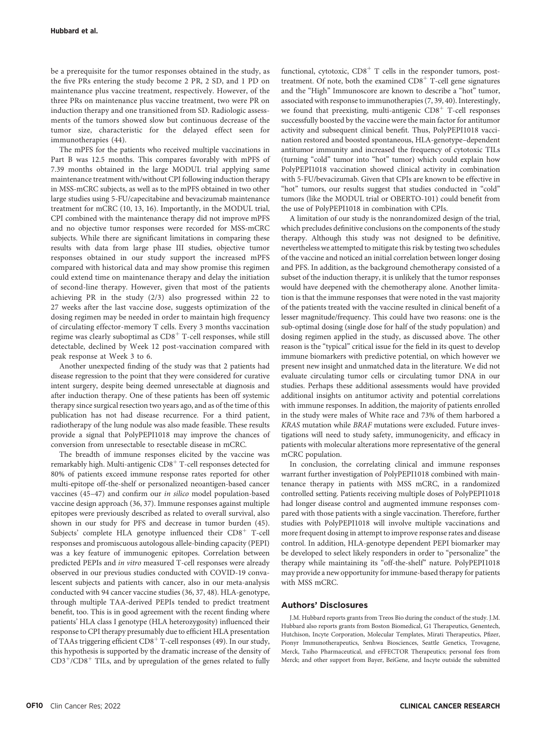be a prerequisite for the tumor responses obtained in the study, as the five PRs entering the study become 2 PR, 2 SD, and 1 PD on maintenance plus vaccine treatment, respectively. However, of the three PRs on maintenance plus vaccine treatment, two were PR on induction therapy and one transitioned from SD. Radiologic assessments of the tumors showed slow but continuous decrease of the tumor size, characteristic for the delayed effect seen for immunotherapies (44).

The mPFS for the patients who received multiple vaccinations in Part B was 12.5 months. This compares favorably with mPFS of 7.39 months obtained in the large MODUL trial applying same maintenance treatment with/without CPI following induction therapy in MSS-mCRC subjects, as well as to the mPFS obtained in two other large studies using 5-FU/capecitabine and bevacizumab maintenance treatment for mCRC (10, 13, 16). Importantly, in the MODUL trial, CPI combined with the maintenance therapy did not improve mPFS and no objective tumor responses were recorded for MSS-mCRC subjects. While there are significant limitations in comparing these results with data from large phase III studies, objective tumor responses obtained in our study support the increased mPFS compared with historical data and may show promise this regimen could extend time on maintenance therapy and delay the initiation of second-line therapy. However, given that most of the patients achieving PR in the study (2/3) also progressed within 22 to 27 weeks after the last vaccine dose, suggests optimization of the dosing regimen may be needed in order to maintain high frequency of circulating effector-memory T cells. Every 3 months vaccination regime was clearly suboptimal as  $CDS<sup>+</sup>$  T-cell responses, while still detectable, declined by Week 12 post-vaccination compared with peak response at Week 3 to 6.

Another unexpected finding of the study was that 2 patients had disease regression to the point that they were considered for curative intent surgery, despite being deemed unresectable at diagnosis and after induction therapy. One of these patients has been off systemic therapy since surgical resection two years ago, and as of the time of this publication has not had disease recurrence. For a third patient, radiotherapy of the lung nodule was also made feasible. These results provide a signal that PolyPEPI1018 may improve the chances of conversion from unresectable to resectable disease in mCRC.

The breadth of immune responses elicited by the vaccine was remarkably high. Multi-antigenic  $CD8<sup>+</sup>$  T-cell responses detected for 80% of patients exceed immune response rates reported for other multi-epitope off-the-shelf or personalized neoantigen-based cancer vaccines (45–47) and confirm our in silico model population-based vaccine design approach (36, 37). Immune responses against multiple epitopes were previously described as related to overall survival, also shown in our study for PFS and decrease in tumor burden (45). Subjects' complete HLA genotype influenced their  $CD8<sup>+</sup>$  T-cell responses and promiscuous autologous allele-binding capacity (PEPI) was a key feature of immunogenic epitopes. Correlation between predicted PEPIs and in vitro measured T-cell responses were already observed in our previous studies conducted with COVID-19 convalescent subjects and patients with cancer, also in our meta-analysis conducted with 94 cancer vaccine studies (36, 37, 48). HLA-genotype, through multiple TAA-derived PEPIs tended to predict treatment benefit, too. This is in good agreement with the recent finding where patients' HLA class I genotype (HLA heterozygosity) influenced their response to CPI therapy presumably due to efficient HLA presentation of TAAs triggering efficient  $CD8<sup>+</sup>$  T-cell responses (49). In our study, this hypothesis is supported by the dramatic increase of the density of  $CD3<sup>+</sup>/CD8<sup>+</sup>$  TILs, and by upregulation of the genes related to fully functional, cytotoxic,  $CD8<sup>+</sup>$  T cells in the responder tumors, posttreatment. Of note, both the examined  $CD8<sup>+</sup>$  T-cell gene signatures and the "High" Immunoscore are known to describe a "hot" tumor, associated with response to immunotherapies (7, 39, 40). Interestingly, we found that preexisting, multi-antigenic  $CD8<sup>+</sup>$  T-cell responses successfully boosted by the vaccine were the main factor for antitumor activity and subsequent clinical benefit. Thus, PolyPEPI1018 vaccination restored and boosted spontaneous, HLA-genotype–dependent antitumor immunity and increased the frequency of cytotoxic TILs (turning "cold" tumor into "hot" tumor) which could explain how PolyPEPI1018 vaccination showed clinical activity in combination with 5-FU/bevacizumab. Given that CPIs are known to be effective in "hot" tumors, our results suggest that studies conducted in "cold" tumors (like the MODUL trial or OBERTO-101) could benefit from the use of PolyPEPI1018 in combination with CPIs.

A limitation of our study is the nonrandomized design of the trial, which precludes definitive conclusions on the components of the study therapy. Although this study was not designed to be definitive, nevertheless we attempted to mitigate this risk by testing two schedules of the vaccine and noticed an initial correlation between longer dosing and PFS. In addition, as the background chemotherapy consisted of a subset of the induction therapy, it is unlikely that the tumor responses would have deepened with the chemotherapy alone. Another limitation is that the immune responses that were noted in the vast majority of the patients treated with the vaccine resulted in clinical benefit of a lesser magnitude/frequency. This could have two reasons: one is the sub-optimal dosing (single dose for half of the study population) and dosing regimen applied in the study, as discussed above. The other reason is the "typical" critical issue for the field in its quest to develop immune biomarkers with predictive potential, on which however we present new insight and unmatched data in the literature. We did not evaluate circulating tumor cells or circulating tumor DNA in our studies. Perhaps these additional assessments would have provided additional insights on antitumor activity and potential correlations with immune responses. In addition, the majority of patients enrolled in the study were males of White race and 73% of them harbored a KRAS mutation while BRAF mutations were excluded. Future investigations will need to study safety, immunogenicity, and efficacy in patients with molecular alterations more representative of the general mCRC population.

In conclusion, the correlating clinical and immune responses warrant further investigation of PolyPEPI1018 combined with maintenance therapy in patients with MSS mCRC, in a randomized controlled setting. Patients receiving multiple doses of PolyPEPI1018 had longer disease control and augmented immune responses compared with those patients with a single vaccination. Therefore, further studies with PolyPEPI1018 will involve multiple vaccinations and more frequent dosing in attempt to improve response rates and disease control. In addition, HLA-genotype dependent PEPI biomarker may be developed to select likely responders in order to "personalize" the therapy while maintaining its "off-the-shelf" nature. PolyPEPI1018 may provide a new opportunity for immune-based therapy for patients with MSS mCRC.

#### Authors' Disclosures

J.M. Hubbard reports grants from Treos Bio during the conduct of the study. J.M. Hubbard also reports grants from Boston Biomedical, G1 Therapeutics, Genentech, Hutchison, Incyte Corporation, Molecular Templates, Mirati Therapeutics, Pfizer, Pionyr Immunotherapeutics, Senhwa Biosciences, Seattle Genetics, Trovagene, Merck, Taiho Pharmaceutical, and eFFECTOR Therapeutics; personal fees from Merck; and other support from Bayer, BeiGene, and Incyte outside the submitted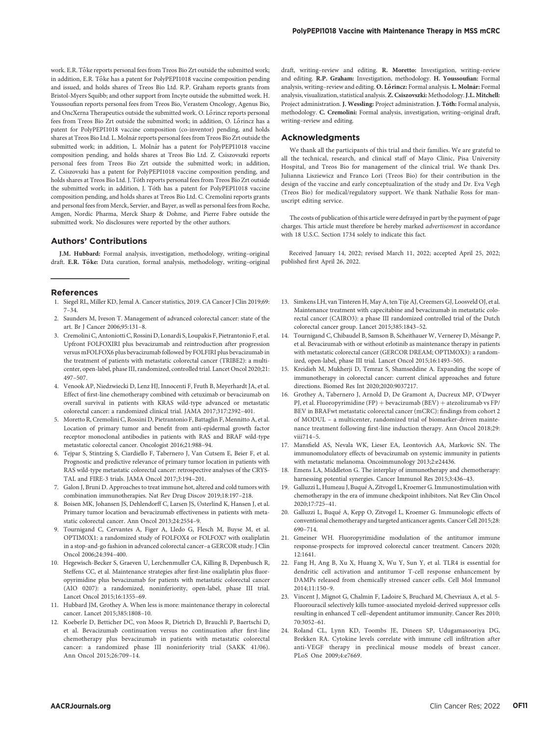work. E.R. Toke reports personal fees from Treos Bio Zrt outside the submitted work; in addition, E.R. Toke has a patent for PolyPEPI1018 vaccine composition pending and issued, and holds shares of Treos Bio Ltd. R.P. Graham reports grants from Bristol-Myers Squibb; and other support from Incyte outside the submitted work. H. Youssoufian reports personal fees from Treos Bio, Verastem Oncology, Agenus Bio, and OncXerna Therapeutics outside the submitted work. O. Lorincz reports personal fees from Treos Bio Zrt outside the submitted work; in addition, O. Lorincz has a patent for PolyPEPI1018 vaccine composition (co-inventor) pending, and holds shares at Treos Bio Ltd. L. Molnar reports personal fees from Treos Bio Zrt outside the submitted work; in addition, L. Molnár has a patent for PolyPEPI1018 vaccine composition pending, and holds shares at Treos Bio Ltd. Z. Csiszovszki reports personal fees from Treos Bio Zrt outside the submitted work; in addition, Z. Csiszovszki has a patent for PolyPEPI1018 vaccine composition pending, and holds shares at Treos Bio Ltd. J. Toth reports personal fees from Treos Bio Zrt outside the submitted work; in addition, J. Toth has a patent for PolyPEPI1018 vaccine composition pending, and holds shares at Treos Bio Ltd. C. Cremolini reports grants and personal fees from Merck, Servier, and Bayer, as well as personal fees from Roche, Amgen, Nordic Pharma, Merck Sharp & Dohme, and Pierre Fabre outside the submitted work. No disclosures were reported by the other authors.

#### Authors' Contributions

J.M. Hubbard: Formal analysis, investigation, methodology, writing–original draft. E.R. Tőke: Data curation, formal analysis, methodology, writing-original

#### References

- 1. Siegel RL, Miller KD, Jemal A. Cancer statistics, 2019. CA Cancer J Clin 2019;69: 7–34.
- 2. Saunders M, Iveson T. Management of advanced colorectal cancer: state of the art. Br J Cancer 2006;95:131–8.
- 3. Cremolini C, Antoniotti C, Rossini D, Lonardi S, Loupakis F, Pietrantonio F, et al. Upfront FOLFOXIRI plus bevacizumab and reintroduction after progression versus mFOLFOX6 plus bevacizumab followed by FOLFIRI plus bevacizumab in the treatment of patients with metastatic colorectal cancer (TRIBE2): a multicenter, open-label, phase III, randomized, controlled trial. Lancet Oncol 2020;21: 497–507.
- 4. Venook AP, Niedzwiecki D, Lenz HJ, Innocenti F, Fruth B, Meyerhardt JA, et al. Effect of first-line chemotherapy combined with cetuximab or bevacizumab on overall survival in patients with KRAS wild-type advanced or metastatic colorectal cancer: a randomized clinical trial. JAMA 2017;317:2392–401.
- 5. Moretto R, Cremolini C, Rossini D, Pietrantonio F, Battaglin F, Mennitto A, et al. Location of primary tumor and benefit from anti-epidermal growth factor receptor monoclonal antibodies in patients with RAS and BRAF wild-type metastatic colorectal cancer. Oncologist 2016;21:988–94.
- 6. Tejpar S, Stintzing S, Ciardiello F, Tabernero J, Van Cutsem E, Beier F, et al. Prognostic and predictive relevance of primary tumor location in patients with RAS wild-type metastatic colorectal cancer: retrospective analyses of the CRYS-TAL and FIRE-3 trials. JAMA Oncol 2017;3:194–201.
- 7. Galon J, Bruni D. Approaches to treat immune hot, altered and cold tumors with combination immunotherapies. Nat Rev Drug Discov 2019;18:197–218.
- 8. Boisen MK, Johansen JS, Dehlendorff C, Larsen JS, Østerlind K, Hansen J, et al. Primary tumor location and bevacizumab effectiveness in patients with metastatic colorectal cancer. Ann Oncol 2013;24:2554–9.
- 9. Tournigand C, Cervantes A, Figer A, Lledo G, Flesch M, Buyse M, et al. OPTIMOX1: a randomized study of FOLFOX4 or FOLFOX7 with oxaliplatin in a stop-and-go fashion in advanced colorectal cancer–a GERCOR study. J Clin Oncol 2006;24:394–400.
- 10. Hegewisch-Becker S, Graeven U, Lerchenmuller CA, Killing B, Depenbusch R, Steffens CC, et al. Maintenance strategies after first-line oxaliplatin plus fluoropyrimidine plus bevacizumab for patients with metastatic colorectal cancer (AIO 0207): a randomized, noninferiority, open-label, phase III trial. Lancet Oncol 2015;16:1355–69.
- 11. Hubbard JM, Grothey A. When less is more: maintenance therapy in colorectal cancer. Lancet 2015;385:1808–10.
- 12. Koeberle D, Betticher DC, von Moos R, Dietrich D, Brauchli P, Baertschi D, et al. Bevacizumab continuation versus no continuation after first-line chemotherapy plus bevacizumab in patients with metastatic colorectal cancer: a randomized phase III noninferiority trial (SAKK 41/06). Ann Oncol 2015;26:709–14.

draft, writing–review and editing. R. Moretto: Investigation, writing–review and editing. R.P. Graham: Investigation, methodology. H. Youssoufian: Formal analysis, writing-review and editing. O. Lőrincz: Formal analysis. L. Molnár: Formal analysis, visualization, statistical analysis. Z. Csiszovszki: Methodology.J.L. Mitchell: Project administration. J. Wessling: Project administration. J. Toth: Formal analysis, methodology. C. Cremolini: Formal analysis, investigation, writing–original draft, writing–review and editing.

#### Acknowledgments

We thank all the participants of this trial and their families. We are grateful to all the technical, research, and clinical staff of Mayo Clinic, Pisa University Hospital, and Treos Bio for management of the clinical trial. We thank Drs. Julianna Lisziewicz and Franco Lori (Treos Bio) for their contribution in the design of the vaccine and early conceptualization of the study and Dr. Eva Vegh (Treos Bio) for medical/regulatory support. We thank Nathalie Ross for manuscript editing service.

The costs of publication of this article were defrayed in part by the payment of page charges. This article must therefore be hereby marked advertisement in accordance with 18 U.S.C. Section 1734 solely to indicate this fact.

Received January 14, 2022; revised March 11, 2022; accepted April 25, 2022; published first April 26, 2022.

- 13. Simkens LH, van Tinteren H, May A, ten Tije AJ, Creemers GJ, Loosveld OJ, et al. Maintenance treatment with capecitabine and bevacizumab in metastatic colorectal cancer (CAIRO3): a phase III randomized controlled trial of the Dutch colorectal cancer group. Lancet 2015;385:1843–52.
- 14. Tournigand C, Chibaudel B, Samson B, Scheithauer W, Vernerey D, Mésange P, et al. Bevacizumab with or without erlotinib as maintenance therapy in patients with metastatic colorectal cancer (GERCOR DREAM; OPTIMOX3): a randomized, open-label, phase III trial. Lancet Oncol 2015;16:1493–505.
- 15. Kreidieh M, Mukherji D, Temraz S, Shamseddine A. Expanding the scope of immunotherapy in colorectal cancer: current clinical approaches and future directions. Biomed Res Int 2020;2020:9037217.
- 16. Grothey A, Tabernero J, Arnold D, De Gramont A, Ducreux MP, O'Dwyer PJ, et al. Fluoropyrimidine (FP) + bevacizumab (BEV) + atezolizumab vs FP/ BEV in BRAFwt metastatic colorectal cancer (mCRC): findings from cohort 2 of MODUL – a multicenter, randomized trial of biomarker-driven maintenance treatment following first-line induction therapy. Ann Oncol 2018;29: viii714–5.
- 17. Mansfield AS, Nevala WK, Lieser EA, Leontovich AA, Markovic SN. The immunomodulatory effects of bevacizumab on systemic immunity in patients with metastatic melanoma. Oncoimmunology 2013;2:e24436.
- 18. Emens LA, Middleton G. The interplay of immunotherapy and chemotherapy: harnessing potential synergies. Cancer Immunol Res 2015;3:436–43.
- 19. Galluzzi L, Humeau J, Buque A, Zitvogel L, Kroemer G. Immunostimulation with chemotherapy in the era of immune checkpoint inhibitors. Nat Rev Clin Oncol 2020;17:725–41.
- 20. Galluzzi L, Buque A, Kepp O, Zitvogel L, Kroemer G. Immunologic effects of conventional chemotherapy and targeted anticancer agents. Cancer Cell 2015;28: 690–714.
- 21. Gmeiner WH. Fluoropyrimidine modulation of the antitumor immune response-prospects for improved colorectal cancer treatment. Cancers 2020; 12:1641.
- 22. Fang H, Ang B, Xu X, Huang X, Wu Y, Sun Y, et al. TLR4 is essential for dendritic cell activation and antitumor T-cell response enhancement by DAMPs released from chemically stressed cancer cells. Cell Mol Immunol 2014;11:150–9.
- 23. Vincent J, Mignot G, Chalmin F, Ladoire S, Bruchard M, Chevriaux A, et al. 5- Fluorouracil selectively kills tumor-associated myeloid-derived suppressor cells resulting in enhanced T cell–dependent antitumor immunity. Cancer Res 2010; 70:3052–61.
- 24. Roland CL, Lynn KD, Toombs JE, Dineen SP, Udugamasooriya DG, Brekken RA. Cytokine levels correlate with immune cell infiltration after anti-VEGF therapy in preclinical mouse models of breast cancer. PLoS One 2009;4:e7669.